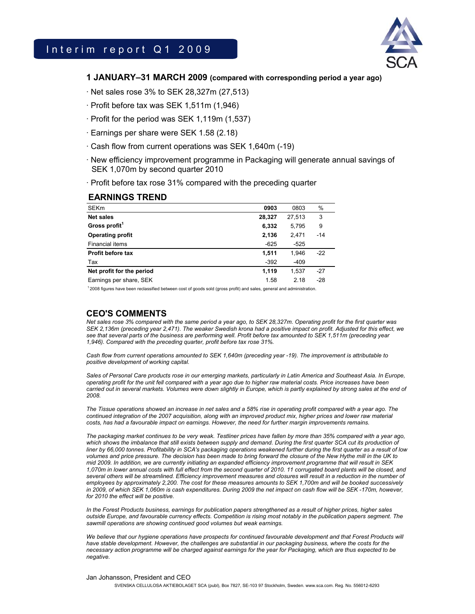

## **1 JANUARY–31 MARCH 2009 (compared with corresponding period a year ago)**

· Net sales rose 3% to SEK 28,327m (27,513)

- · Profit before tax was SEK 1,511m (1,946)
- · Profit for the period was SEK 1,119m (1,537)
- · Earnings per share were SEK 1.58 (2.18)
- · Cash flow from current operations was SEK 1,640m (-19)
- · New efficiency improvement programme in Packaging will generate annual savings of SEK 1,070m by second quarter 2010
- · Profit before tax rose 31% compared with the preceding quarter

#### **EARNINGS TREND**

| <b>SEKm</b>               | 0903   | 0803   | %     |
|---------------------------|--------|--------|-------|
| <b>Net sales</b>          | 28,327 | 27.513 | 3     |
| Gross profit <sup>1</sup> | 6,332  | 5.795  | 9     |
| <b>Operating profit</b>   | 2,136  | 2.471  | $-14$ |
| <b>Financial items</b>    | $-625$ | $-525$ |       |
| <b>Profit before tax</b>  | 1,511  | 1.946  | $-22$ |
| Tax                       | $-392$ | $-409$ |       |
| Net profit for the period | 1,119  | 1.537  | $-27$ |
| Earnings per share, SEK   | 1.58   | 2.18   | $-28$ |

1 2008 figures have been reclassified between cost of goods sold (gross profit) and sales, general and administration.

# **CEO'S COMMENTS**

*Net sales rose 3% compared with the same period a year ago, to SEK 28,327m. Operating profit for the first quarter was SEK 2,136m (preceding year 2,471). The weaker Swedish krona had a positive impact on profit. Adjusted for this effect, we*  see that several parts of the business are performing well. Profit before tax amounted to SEK 1,511m (preceding year *1,946). Compared with the preceding quarter, profit before tax rose 31%.* 

*Cash flow from current operations amounted to SEK 1,640m (preceding year -19). The improvement is attributable to positive development of working capital.* 

Sales of Personal Care products rose in our emerging markets, particularly in Latin America and Southeast Asia. In Europe, *operating profit for the unit fell compared with a year ago due to higher raw material costs. Price increases have been carried out in several markets. Volumes were down slightly in Europe, which is partly explained by strong sales at the end of 2008.* 

*The Tissue operations showed an increase in net sales and a 58% rise in operating profit compared with a year ago. The continued integration of the 2007 acquisition, along with an improved product mix, higher prices and lower raw material costs, has had a favourable impact on earnings. However, the need for further margin improvements remains.* 

*The packaging market continues to be very weak. Testliner prices have fallen by more than 35% compared with a year ago,*  which shows the imbalance that still exists between supply and demand. During the first quarter SCA cut its production of *liner by 66,000 tonnes. Profitability in SCA's packaging operations weakened further during the first quarter as a result of low volumes and price pressure. The decision has been made to bring forward the closure of the New Hythe mill in the UK to mid 2009. In addition, we are currently initiating an expanded efficiency improvement programme that will result in SEK 1,070m in lower annual costs with full effect from the second quarter of 2010. 11 corrugated board plants will be closed, and several others will be streamlined. Efficiency improvement measures and closures will result in a reduction in the number of employees by approximately 2,200. The cost for these measures amounts to SEK 1,700m and will be booked successively in 2009, of which SEK 1,060m is cash expenditures. During 2009 the net impact on cash flow will be SEK -170m, however, for 2010 the effect will be positive.* 

*In the Forest Products business, earnings for publication papers strengthened as a result of higher prices, higher sales outside Europe, and favourable currency effects. Competition is rising most notably in the publication papers segment. The sawmill operations are showing continued good volumes but weak earnings.* 

We believe that our hygiene operations have prospects for continued favourable development and that Forest Products will *have stable development. However, the challenges are substantial in our packaging business, where the costs for the necessary action programme will be charged against earnings for the year for Packaging, which are thus expected to be negative.* 

#### Jan Johansson, President and CEO

SVENSKA CELLULOSA AKTIEBOLAGET SCA (publ), Box 7827, SE-103 97 Stockholm, Sweden. www.sca.com. Reg. No. 556012-6293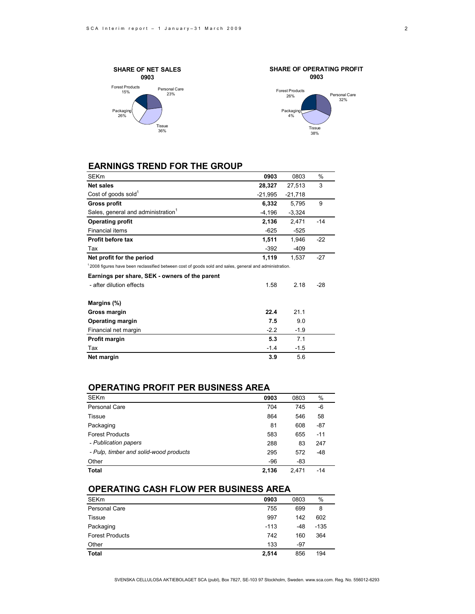



# **EARNINGS TREND FOR THE GROUP**

| SEKm                                                                                                               | 0903      | 0803      | %     |
|--------------------------------------------------------------------------------------------------------------------|-----------|-----------|-------|
| <b>Net sales</b>                                                                                                   | 28,327    | 27,513    | 3     |
| Cost of goods sold <sup>1</sup>                                                                                    | $-21,995$ | $-21,718$ |       |
| Gross profit                                                                                                       | 6,332     | 5,795     | 9     |
| Sales, general and administration <sup>1</sup>                                                                     | $-4,196$  | $-3,324$  |       |
| <b>Operating profit</b>                                                                                            | 2,136     | 2,471     | $-14$ |
| Financial items                                                                                                    | $-625$    | $-525$    |       |
| <b>Profit before tax</b>                                                                                           | 1,511     | 1,946     | $-22$ |
| Tax                                                                                                                | $-392$    | $-409$    |       |
| Net profit for the period                                                                                          | 1,119     | 1,537     | $-27$ |
| <sup>1</sup> 2008 figures have been reclassified between cost of goods sold and sales, general and administration. |           |           |       |
| Earnings per share, SEK - owners of the parent                                                                     |           |           |       |
| - after dilution effects                                                                                           | 1.58      | 2.18      | $-28$ |
| Margins (%)                                                                                                        |           |           |       |
| Gross margin                                                                                                       | 22.4      | 21.1      |       |
| <b>Operating margin</b>                                                                                            | 7.5       | 9.0       |       |
| Financial net margin                                                                                               | $-2.2$    | $-1.9$    |       |
| Profit margin                                                                                                      | 5.3       | 7.1       |       |
| Tax                                                                                                                | $-1.4$    | $-1.5$    |       |
| Net margin                                                                                                         | 3.9       | 5.6       |       |

## **OPERATING PROFIT PER BUSINESS AREA**

| <b>SEKm</b>                            | 0903  | 0803  | $\%$  |
|----------------------------------------|-------|-------|-------|
| <b>Personal Care</b>                   | 704   | 745   | -6    |
| <b>Tissue</b>                          | 864   | 546   | 58    |
| Packaging                              | 81    | 608   | $-87$ |
| <b>Forest Products</b>                 | 583   | 655   | $-11$ |
| - Publication papers                   | 288   | 83    | 247   |
| - Pulp, timber and solid-wood products | 295   | 572   | $-48$ |
| Other                                  | $-96$ | -83   |       |
| <b>Total</b>                           | 2,136 | 2.471 | $-14$ |

# **OPERATING CASH FLOW PER BUSINESS AREA**

| <b>SEKm</b>            | 0903   | 0803  | %      |  |
|------------------------|--------|-------|--------|--|
| Personal Care          | 755    | 699   | 8      |  |
| Tissue                 | 997    | 142   | 602    |  |
| Packaging              | $-113$ | $-48$ | $-135$ |  |
| <b>Forest Products</b> | 742    | 160   | 364    |  |
| Other                  | 133    | $-97$ |        |  |
| <b>Total</b>           | 2,514  | 856   | 194    |  |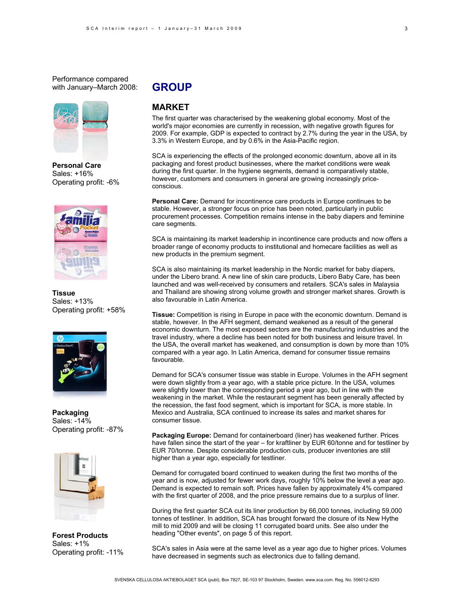Performance compared with January–March 2008:



**Personal Care**  Sales: +16% Operating profit: -6%



**Tissue**  Sales: +13% Operating profit: +58%



**Packaging** Sales: -14% Operating profit: -87%



**Forest Products** Sales: +1% Operating profit: -11%

# **GROUP**

## **MARKET**

The first quarter was characterised by the weakening global economy. Most of the world's major economies are currently in recession, with negative growth figures for 2009. For example, GDP is expected to contract by 2.7% during the year in the USA, by 3.3% in Western Europe, and by 0.6% in the Asia-Pacific region.

SCA is experiencing the effects of the prolonged economic downturn, above all in its packaging and forest product businesses, where the market conditions were weak during the first quarter. In the hygiene segments, demand is comparatively stable, however, customers and consumers in general are growing increasingly priceconscious.

**Personal Care:** Demand for incontinence care products in Europe continues to be stable. However, a stronger focus on price has been noted, particularly in public procurement processes. Competition remains intense in the baby diapers and feminine care segments.

SCA is maintaining its market leadership in incontinence care products and now offers a broader range of economy products to institutional and homecare facilities as well as new products in the premium segment.

SCA is also maintaining its market leadership in the Nordic market for baby diapers, under the Libero brand. A new line of skin care products, Libero Baby Care, has been launched and was well-received by consumers and retailers. SCA's sales in Malaysia and Thailand are showing strong volume growth and stronger market shares. Growth is also favourable in Latin America.

**Tissue:** Competition is rising in Europe in pace with the economic downturn. Demand is stable, however. In the AFH segment, demand weakened as a result of the general economic downturn. The most exposed sectors are the manufacturing industries and the travel industry, where a decline has been noted for both business and leisure travel. In the USA, the overall market has weakened, and consumption is down by more than 10% compared with a year ago. In Latin America, demand for consumer tissue remains favourable.

Demand for SCA's consumer tissue was stable in Europe. Volumes in the AFH segment were down slightly from a year ago, with a stable price picture. In the USA, volumes were slightly lower than the corresponding period a year ago, but in line with the weakening in the market. While the restaurant segment has been generally affected by the recession, the fast food segment, which is important for SCA, is more stable. In Mexico and Australia, SCA continued to increase its sales and market shares for consumer tissue.

**Packaging Europe:** Demand for containerboard (liner) has weakened further. Prices have fallen since the start of the year – for kraftliner by EUR 60/tonne and for testliner by EUR 70/tonne. Despite considerable production cuts, producer inventories are still higher than a year ago, especially for testliner.

Demand for corrugated board continued to weaken during the first two months of the year and is now, adjusted for fewer work days, roughly 10% below the level a year ago. Demand is expected to remain soft. Prices have fallen by approximately 4% compared with the first quarter of 2008, and the price pressure remains due to a surplus of liner.

During the first quarter SCA cut its liner production by 66,000 tonnes, including 59,000 tonnes of testliner. In addition, SCA has brought forward the closure of its New Hythe mill to mid 2009 and will be closing 11 corrugated board units. See also under the heading "Other events", on page 5 of this report.

SCA's sales in Asia were at the same level as a year ago due to higher prices. Volumes have decreased in segments such as electronics due to falling demand.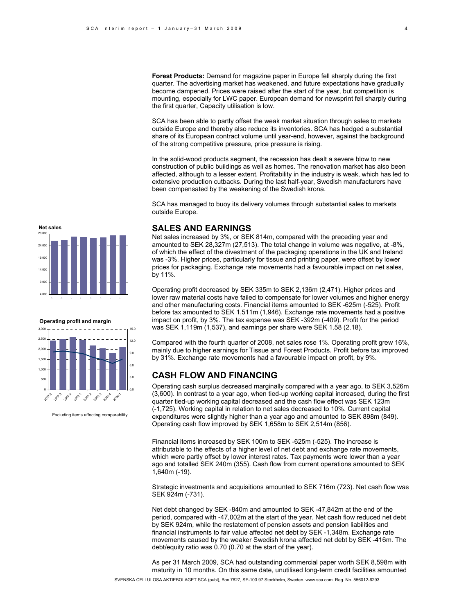**Forest Products:** Demand for magazine paper in Europe fell sharply during the first quarter. The advertising market has weakened, and future expectations have gradually become dampened. Prices were raised after the start of the year, but competition is mounting, especially for LWC paper. European demand for newsprint fell sharply during the first quarter, Capacity utilisation is low.

SCA has been able to partly offset the weak market situation through sales to markets outside Europe and thereby also reduce its inventories. SCA has hedged a substantial share of its European contract volume until year-end, however, against the background of the strong competitive pressure, price pressure is rising.

In the solid-wood products segment, the recession has dealt a severe blow to new construction of public buildings as well as homes. The renovation market has also been affected, although to a lesser extent. Profitability in the industry is weak, which has led to extensive production cutbacks. During the last half-year, Swedish manufacturers have been compensated by the weakening of the Swedish krona.

SCA has managed to buoy its delivery volumes through substantial sales to markets outside Europe.

## **SALES AND EARNINGS**

Net sales increased by 3%, or SEK 814m, compared with the preceding year and amounted to SEK 28,327m (27,513). The total change in volume was negative, at -8%, of which the effect of the divestment of the packaging operations in the UK and Ireland was -3%. Higher prices, particularly for tissue and printing paper, were offset by lower prices for packaging. Exchange rate movements had a favourable impact on net sales, by 11%.

Operating profit decreased by SEK 335m to SEK 2,136m (2,471). Higher prices and lower raw material costs have failed to compensate for lower volumes and higher energy and other manufacturing costs. Financial items amounted to SEK -625m (-525). Profit before tax amounted to SEK 1,511m (1,946). Exchange rate movements had a positive impact on profit, by 3%. The tax expense was SEK -392m (-409). Profit for the period was SEK 1,119m (1,537), and earnings per share were SEK 1.58 (2.18).

Compared with the fourth quarter of 2008, net sales rose 1%. Operating profit grew 16%, mainly due to higher earnings for Tissue and Forest Products. Profit before tax improved by 31%. Exchange rate movements had a favourable impact on profit, by 9%.

# **CASH FLOW AND FINANCING**

Operating cash surplus decreased marginally compared with a year ago, to SEK 3,526m (3,600). In contrast to a year ago, when tied-up working capital increased, during the first quarter tied-up working capital decreased and the cash flow effect was SEK 123m (-1,725). Working capital in relation to net sales decreased to 10%. Current capital expenditures were slightly higher than a year ago and amounted to SEK 898m (849). Operating cash flow improved by SEK 1,658m to SEK 2,514m (856).

Financial items increased by SEK 100m to SEK -625m (-525). The increase is attributable to the effects of a higher level of net debt and exchange rate movements, which were partly offset by lower interest rates. Tax payments were lower than a year ago and totalled SEK 240m (355). Cash flow from current operations amounted to SEK 1,640m (-19).

Strategic investments and acquisitions amounted to SEK 716m (723). Net cash flow was SEK 924m (-731).

Net debt changed by SEK -840m and amounted to SEK -47,842m at the end of the period, compared with -47,002m at the start of the year. Net cash flow reduced net debt by SEK 924m, while the restatement of pension assets and pension liabilities and financial instruments to fair value affected net debt by SEK -1,348m. Exchange rate movements caused by the weaker Swedish krona affected net debt by SEK -416m. The debt/equity ratio was 0.70 (0.70 at the start of the year).

As per 31 March 2009, SCA had outstanding commercial paper worth SEK 8,598m with maturity in 10 months. On this same date, unutilised long-term credit facilities amounted

SVENSKA CELLULOSA AKTIEBOLAGET SCA (publ), Box 7827, SE-103 97 Stockholm, Sweden. www.sca.com. Reg. No. 556012-6293





Excluding items affecting comparability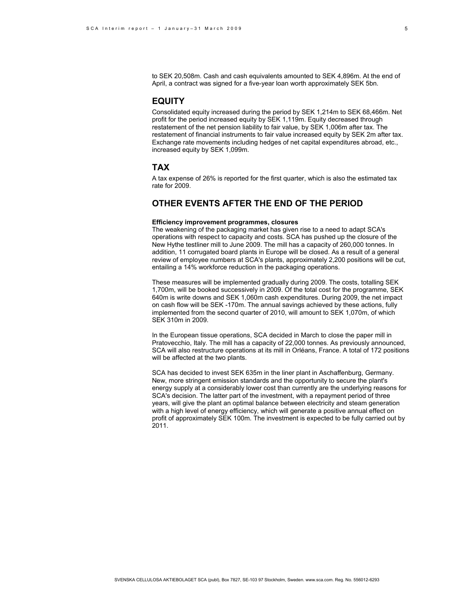to SEK 20,508m. Cash and cash equivalents amounted to SEK 4,896m. At the end of April, a contract was signed for a five-year loan worth approximately SEK 5bn.

## **EQUITY**

Consolidated equity increased during the period by SEK 1,214m to SEK 68,466m. Net profit for the period increased equity by SEK 1,119m. Equity decreased through restatement of the net pension liability to fair value, by SEK 1,006m after tax. The restatement of financial instruments to fair value increased equity by SEK 2m after tax. Exchange rate movements including hedges of net capital expenditures abroad, etc., increased equity by SEK 1,099m.

## **TAX**

A tax expense of 26% is reported for the first quarter, which is also the estimated tax rate for 2009.

# **OTHER EVENTS AFTER THE END OF THE PERIOD**

#### **Efficiency improvement programmes, closures**

The weakening of the packaging market has given rise to a need to adapt SCA's operations with respect to capacity and costs. SCA has pushed up the closure of the New Hythe testliner mill to June 2009. The mill has a capacity of 260,000 tonnes. In addition, 11 corrugated board plants in Europe will be closed. As a result of a general review of employee numbers at SCA's plants, approximately 2,200 positions will be cut, entailing a 14% workforce reduction in the packaging operations.

These measures will be implemented gradually during 2009. The costs, totalling SEK 1,700m, will be booked successively in 2009. Of the total cost for the programme, SEK 640m is write downs and SEK 1,060m cash expenditures. During 2009, the net impact on cash flow will be SEK -170m. The annual savings achieved by these actions, fully implemented from the second quarter of 2010, will amount to SEK 1,070m, of which SEK 310m in 2009.

In the European tissue operations, SCA decided in March to close the paper mill in Pratovecchio, Italy. The mill has a capacity of 22,000 tonnes. As previously announced, SCA will also restructure operations at its mill in Orléans, France. A total of 172 positions will be affected at the two plants.

SCA has decided to invest SEK 635m in the liner plant in Aschaffenburg, Germany. New, more stringent emission standards and the opportunity to secure the plant's energy supply at a considerably lower cost than currently are the underlying reasons for SCA's decision. The latter part of the investment, with a repayment period of three years, will give the plant an optimal balance between electricity and steam generation with a high level of energy efficiency, which will generate a positive annual effect on profit of approximately SEK 100m. The investment is expected to be fully carried out by 2011.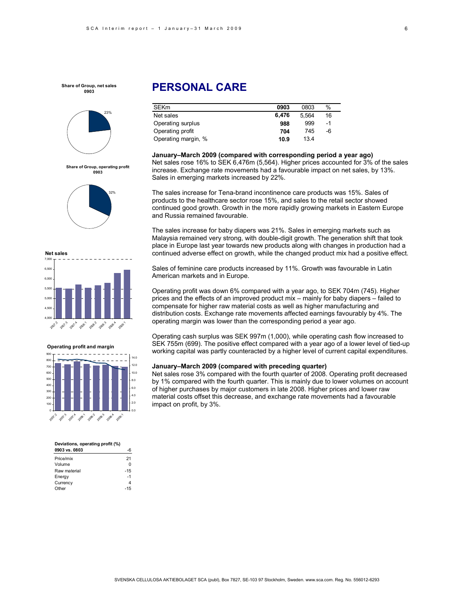

**Share of Group, operating profit 0903**







#### **Operating profit and margin**



#### **Deviations, operating profit (%)**

| 0903 vs. 0803 |       |
|---------------|-------|
| Price/mix     | 21    |
| Volume        | ŋ     |
| Raw material  | $-15$ |
| Energy        | $-1$  |
| Currency      |       |
| Other         | $-15$ |
|               |       |

# **PERSONAL CARE**

| <b>SEK<sub>m</sub></b> | 0903  | 0803  | $\%$ |
|------------------------|-------|-------|------|
| Net sales              | 6.476 | 5.564 | 16   |
| Operating surplus      | 988   | 999   | -1   |
| Operating profit       | 704   | 745   | -6   |
| Operating margin, %    | 10.9  | 134   |      |

**January–March 2009 (compared with corresponding period a year ago)**  Net sales rose 16% to SEK 6,476m (5,564). Higher prices accounted for 3% of the sales increase. Exchange rate movements had a favourable impact on net sales, by 13%. Sales in emerging markets increased by 22%.

The sales increase for Tena-brand incontinence care products was 15%. Sales of products to the healthcare sector rose 15%, and sales to the retail sector showed continued good growth. Growth in the more rapidly growing markets in Eastern Europe and Russia remained favourable.

The sales increase for baby diapers was 21%. Sales in emerging markets such as Malaysia remained very strong, with double-digit growth. The generation shift that took place in Europe last year towards new products along with changes in production had a continued adverse effect on growth, while the changed product mix had a positive effect.

Sales of feminine care products increased by 11%. Growth was favourable in Latin American markets and in Europe.

Operating profit was down 6% compared with a year ago, to SEK 704m (745). Higher prices and the effects of an improved product mix – mainly for baby diapers – failed to compensate for higher raw material costs as well as higher manufacturing and distribution costs. Exchange rate movements affected earnings favourably by 4%. The operating margin was lower than the corresponding period a year ago.

Operating cash surplus was SEK 997m (1,000), while operating cash flow increased to SEK 755m (699). The positive effect compared with a year ago of a lower level of tied-up working capital was partly counteracted by a higher level of current capital expenditures.

#### **January–March 2009 (compared with preceding quarter)**

Net sales rose 3% compared with the fourth quarter of 2008. Operating profit decreased by 1% compared with the fourth quarter. This is mainly due to lower volumes on account of higher purchases by major customers in late 2008. Higher prices and lower raw material costs offset this decrease, and exchange rate movements had a favourable impact on profit, by 3%.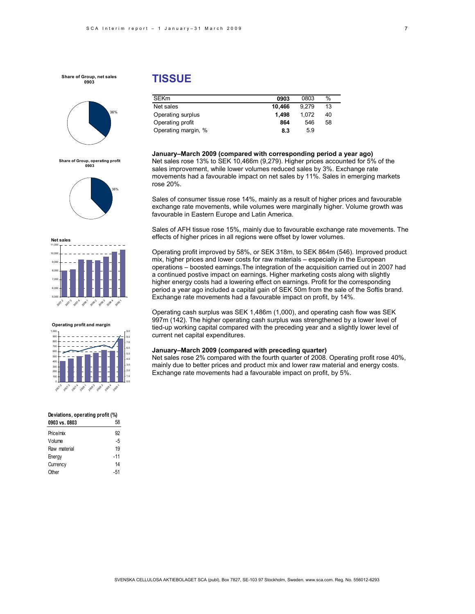

**Share of Group, operating profit 0903**





#### **Operating profit and margin**

| 1,000       |        |        |              |        |        |        |       | 9.0 |
|-------------|--------|--------|--------------|--------|--------|--------|-------|-----|
| 900         |        |        |              |        |        |        |       | 8.0 |
| 800         |        |        |              |        |        |        |       | 7.0 |
| 700         |        |        |              |        |        |        |       | 6.0 |
| 600         |        |        |              |        |        |        |       | 5.0 |
| 500         |        |        |              |        |        |        |       |     |
| 400         |        |        |              |        |        |        |       | 4.0 |
|             |        |        |              |        |        |        |       | 3.0 |
| 300         |        |        |              |        |        |        |       |     |
| 200         |        |        |              |        |        |        |       | 2.0 |
| 100         |        |        |              |        |        |        |       | 1.0 |
| $\mathbf 0$ |        |        |              |        |        |        |       | 0.0 |
|             |        |        |              |        |        |        |       |     |
| 2007年       | 2007.3 | 2007-A | <b>BOB</b> ! | 2008/3 | 2006.3 | 2008-A | Bost, |     |
|             |        |        |              |        |        |        |       |     |

#### **Deviations, operating profit (%)**

| 0903 vs. 0803 | 58    |
|---------------|-------|
| Price/mix     | 92    |
| Volume        | -5    |
| Raw material  | 19    |
| Energy        | $-11$ |
| Currency      | 14    |
| Other         | -51   |
|               |       |

# **TISSUE**

| <b>SEKm</b>         | 0903   | 0803  | %  |
|---------------------|--------|-------|----|
| Net sales           | 10.466 | 9.279 | 13 |
| Operating surplus   | 1.498  | 1.072 | 40 |
| Operating profit    | 864    | 546   | 58 |
| Operating margin, % | 8.3    | 5.9   |    |

**January–March 2009 (compared with corresponding period a year ago)**  Net sales rose 13% to SEK 10,466m (9,279). Higher prices accounted for 5% of the sales improvement, while lower volumes reduced sales by 3%. Exchange rate movements had a favourable impact on net sales by 11%. Sales in emerging markets rose 20%.

Sales of consumer tissue rose 14%, mainly as a result of higher prices and favourable exchange rate movements, while volumes were marginally higher. Volume growth was favourable in Eastern Europe and Latin America.

Sales of AFH tissue rose 15%, mainly due to favourable exchange rate movements. The effects of higher prices in all regions were offset by lower volumes.

Operating profit improved by 58%, or SEK 318m, to SEK 864m (546). Improved product mix, higher prices and lower costs for raw materials – especially in the European operations – boosted earnings.The integration of the acquisition carried out in 2007 had a continued postive impact on earnings. Higher marketing costs along with slightly higher energy costs had a lowering effect on earnings. Profit for the corresponding period a year ago included a capital gain of SEK 50m from the sale of the Softis brand. Exchange rate movements had a favourable impact on profit, by 14%.

Operating cash surplus was SEK 1,486m (1,000), and operating cash flow was SEK 997m (142). The higher operating cash surplus was strengthened by a lower level of tied-up working capital compared with the preceding year and a slightly lower level of current net capital expenditures.

#### **January–March 2009 (compared with preceding quarter)**

Net sales rose 2% compared with the fourth quarter of 2008. Operating profit rose 40%, mainly due to better prices and product mix and lower raw material and energy costs. Exchange rate movements had a favourable impact on profit, by 5%.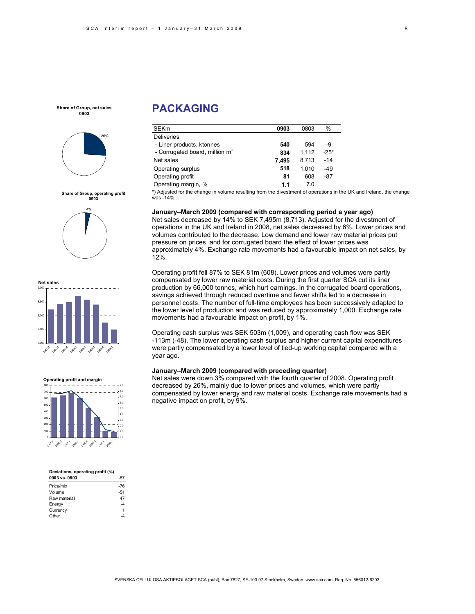

**Share of Group, operating profit 0903** 4%

**PACKAGING** 

| <b>SEKm</b>                      | 0903  | 0803  | %      |
|----------------------------------|-------|-------|--------|
| <b>Deliveries</b>                |       |       |        |
| - Liner products, ktonnes        | 540   | 594   | -9     |
| - Corrugated board, million $m2$ | 834   | 1.112 | $-25*$ |
| Net sales                        | 7.495 | 8.713 | $-14$  |
| Operating surplus                | 518   | 1.010 | $-49$  |
| Operating profit                 | 81    | 608   | $-87$  |
| Operating margin, %              | 1.1   | 70    |        |

\*) Adjusted for the change in volume resulting from the divestment of operations in the UK and Ireland, the change was -14%.

#### **January–March 2009 (compared with corresponding period a year ago)**

Net sales decreased by 14% to SEK 7,495m (8,713). Adjusted for the divestment of operations in the UK and Ireland in 2008, net sales decreased by 6%. Lower prices and volumes contributed to the decrease. Low demand and lower raw material prices put pressure on prices, and for corrugated board the effect of lower prices was approximately 4%. Exchange rate movements had a favourable impact on net sales, by 12%.

Operating profit fell 87% to SEK 81m (608). Lower prices and volumes were partly compensated by lower raw material costs. During the first quarter SCA cut its liner production by 66,000 tonnes, which hurt earnings. In the corrugated board operations, savings achieved through reduced overtime and fewer shifts led to a decrease in personnel costs. The number of full-time employees has been successively adapted to the lower level of production and was reduced by approximately 1,000. Exchange rate movements had a favourable impact on profit, by 1%.

Operating cash surplus was SEK 503m (1,009), and operating cash flow was SEK -113m (-48). The lower operating cash surplus and higher current capital expenditures were partly compensated by a lower level of tied-up working capital compared with a year ago.

#### **January–March 2009 (compared with preceding quarter)**

Net sales were down 3% compared with the fourth quarter of 2008. Operating profit decreased by 26%, mainly due to lower prices and volumes, which were partly compensated by lower energy and raw material costs. Exchange rate movements had a negative impact on profit, by 9%.



#### **Operating profit and margin**



| Deviations, operating profit (%) |       |
|----------------------------------|-------|
| 0903 vs. 0803                    | -87   |
| Price/mix                        | $-76$ |
| Volume                           | $-51$ |
| Raw material                     | 47    |
| Energy                           | 4     |
| Currency                         | 1     |
| Other                            |       |

8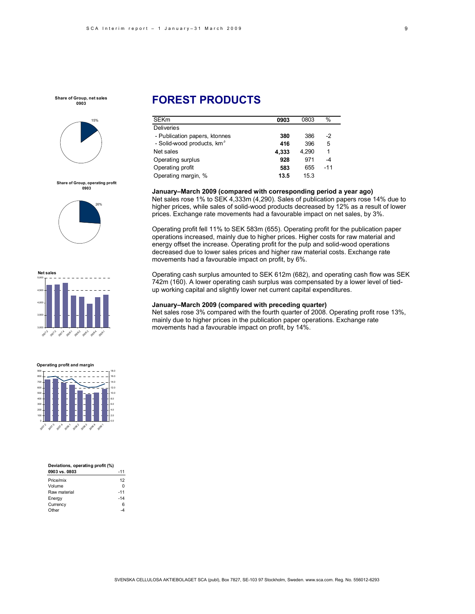

**Share of Group, operating profit 0903**





#### **Operating profit and margin**

0 100 200 300 400 500 600 700 800 900 2013 .<br>اگه 2007.<sup>5</sup> 200° 2009.2 2009 2008:4 **200** 0.0 2.0 4.0 6.0 8.0 10.0 12.0 14.0 16.0 18.0

| Deviations, operating profit (%) |       |
|----------------------------------|-------|
| 0903 vs. 0803                    | $-11$ |
| Price/mix                        | 12    |
| Volume                           | U     |
| Raw material                     | $-11$ |
| Energy                           | $-14$ |
| Currency                         | 6     |
| : Other                          |       |

# **FOREST PRODUCTS**

| <b>SEKm</b>                            | 0903  | 0803  | $\%$  |
|----------------------------------------|-------|-------|-------|
| Deliveries                             |       |       |       |
| - Publication papers, ktonnes          | 380   | 386   | -2    |
| - Solid-wood products, km <sup>3</sup> | 416   | 396   | 5     |
| Net sales                              | 4,333 | 4.290 | 1     |
| Operating surplus                      | 928   | 971   | -4    |
| Operating profit                       | 583   | 655   | $-11$ |
| Operating margin, %                    | 13.5  | 15.3  |       |

#### **January–March 2009 (compared with corresponding period a year ago)**

Net sales rose 1% to SEK 4,333m (4,290). Sales of publication papers rose 14% due to higher prices, while sales of solid-wood products decreased by 12% as a result of lower prices. Exchange rate movements had a favourable impact on net sales, by 3%.

Operating profit fell 11% to SEK 583m (655). Operating profit for the publication paper operations increased, mainly due to higher prices. Higher costs for raw material and energy offset the increase. Operating profit for the pulp and solid-wood operations decreased due to lower sales prices and higher raw material costs. Exchange rate movements had a favourable impact on profit, by 6%.

Operating cash surplus amounted to SEK 612m (682), and operating cash flow was SEK 742m (160). A lower operating cash surplus was compensated by a lower level of tiedup working capital and slightly lower net current capital expenditures.

#### **January–March 2009 (compared with preceding quarter)**

Net sales rose 3% compared with the fourth quarter of 2008. Operating profit rose 13%, mainly due to higher prices in the publication paper operations. Exchange rate movements had a favourable impact on profit, by 14%.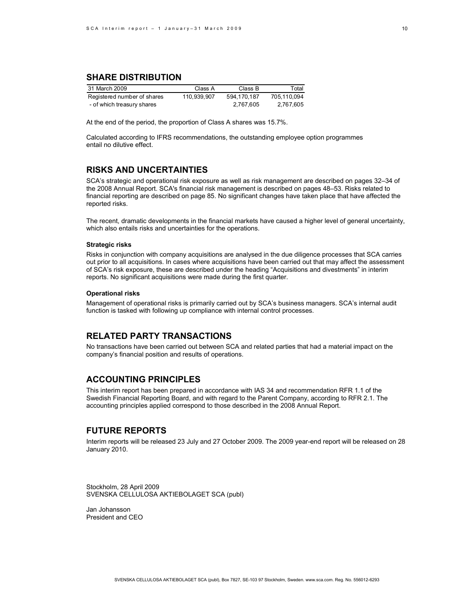# **SHARE DISTRIBUTION**

| 31 March 2009               | Class A     | Class B     | Total       |
|-----------------------------|-------------|-------------|-------------|
| Registered number of shares | 110.939.907 | 594.170.187 | 705.110.094 |
| - of which treasury shares  |             | 2.767.605   | 2.767.605   |

At the end of the period, the proportion of Class A shares was 15.7%.

Calculated according to IFRS recommendations, the outstanding employee option programmes entail no dilutive effect.

## **RISKS AND UNCERTAINTIES**

SCA's strategic and operational risk exposure as well as risk management are described on pages 32–34 of the 2008 Annual Report. SCA's financial risk management is described on pages 48–53. Risks related to financial reporting are described on page 85. No significant changes have taken place that have affected the reported risks.

The recent, dramatic developments in the financial markets have caused a higher level of general uncertainty, which also entails risks and uncertainties for the operations.

#### **Strategic risks**

Risks in conjunction with company acquisitions are analysed in the due diligence processes that SCA carries out prior to all acquisitions. In cases where acquisitions have been carried out that may affect the assessment of SCA's risk exposure, these are described under the heading "Acquisitions and divestments" in interim reports. No significant acquisitions were made during the first quarter.

#### **Operational risks**

Management of operational risks is primarily carried out by SCA's business managers. SCA's internal audit function is tasked with following up compliance with internal control processes.

## **RELATED PARTY TRANSACTIONS**

No transactions have been carried out between SCA and related parties that had a material impact on the company's financial position and results of operations.

## **ACCOUNTING PRINCIPLES**

This interim report has been prepared in accordance with IAS 34 and recommendation RFR 1.1 of the Swedish Financial Reporting Board, and with regard to the Parent Company, according to RFR 2.1. The accounting principles applied correspond to those described in the 2008 Annual Report.

## **FUTURE REPORTS**

Interim reports will be released 23 July and 27 October 2009. The 2009 year-end report will be released on 28 January 2010.

Stockholm, 28 April 2009 SVENSKA CELLULOSA AKTIEBOLAGET SCA (publ)

Jan Johansson President and CEO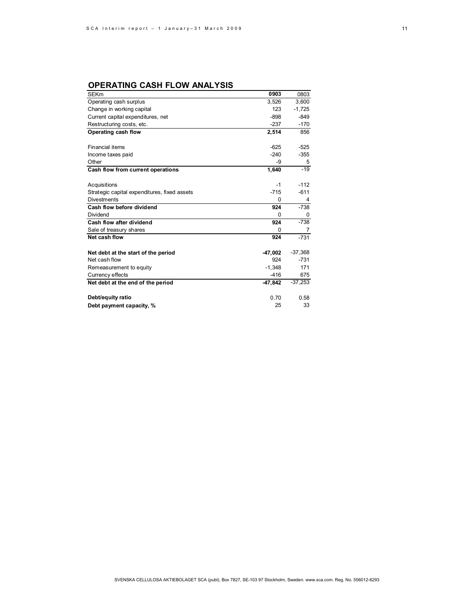# **OPERATING CASH FLOW ANALYSIS**

| <b>SEKm</b>                                  | 0903     | 0803      |
|----------------------------------------------|----------|-----------|
| Operating cash surplus                       | 3,526    | 3,600     |
| Change in working capital                    | 123      | $-1,725$  |
| Current capital expenditures, net            | $-898$   | $-849$    |
| Restructuring costs, etc.                    | $-237$   | $-170$    |
| Operating cash flow                          | 2,514    | 856       |
|                                              |          |           |
| <b>Financial items</b>                       | $-625$   | $-525$    |
| Income taxes paid                            | $-240$   | $-355$    |
| Other                                        | -9       | 5         |
| Cash flow from current operations            | 1,640    | $-19$     |
|                                              |          |           |
| Acquisitions                                 | -1       | $-112$    |
| Strategic capital expenditures, fixed assets | $-715$   | $-611$    |
| <b>Divestments</b>                           | 0        | 4         |
| Cash flow before dividend                    | 924      | $-738$    |
| Dividend                                     | 0        | 0         |
| Cash flow after dividend                     | 924      | $-738$    |
| Sale of treasury shares                      | 0        | 7         |
| Net cash flow                                | 924      | $-731$    |
| Net debt at the start of the period          | -47.002  | $-37,368$ |
| Net cash flow                                | 924      | $-731$    |
| Remeasurement to equity                      | $-1.348$ | 171       |
| Currency effects                             | $-416$   | 675       |
| Net debt at the end of the period            | -47,842  | $-37,253$ |
|                                              |          |           |
| Debt/equity ratio                            | 0.70     | 0.58      |
| Debt payment capacity, %                     | 25       | 33        |
|                                              |          |           |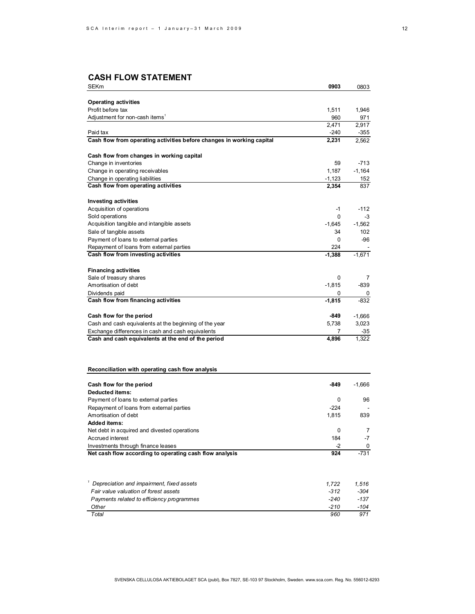# **CASH FLOW STATEMENT**

| <b>SEKm</b>                                                           | 0903     | 0803     |
|-----------------------------------------------------------------------|----------|----------|
|                                                                       |          |          |
| <b>Operating activities</b><br>Profit before tax                      |          |          |
|                                                                       | 1,511    | 1,946    |
| Adjustment for non-cash items <sup>1</sup>                            | 960      | 971      |
|                                                                       | 2,471    | 2,917    |
| Paid tax                                                              | $-240$   | $-355$   |
| Cash flow from operating activities before changes in working capital | 2,231    | 2,562    |
| Cash flow from changes in working capital                             |          |          |
| Change in inventories                                                 | 59       | $-713$   |
| Change in operating receivables                                       | 1.187    | $-1,164$ |
| Change in operating liabilities                                       | $-1,123$ | 152      |
| Cash flow from operating activities                                   | 2,354    | 837      |
| <b>Investing activities</b>                                           |          |          |
| Acquisition of operations                                             | $-1$     | $-112$   |
| Sold operations                                                       | 0        | -3       |
| Acquisition tangible and intangible assets                            | $-1.645$ | $-1.562$ |
| Sale of tangible assets                                               | 34       | 102      |
| Payment of loans to external parties                                  | 0        | -96      |
| Repayment of loans from external parties                              | 224      |          |
| Cash flow from investing activities                                   | $-1,388$ | $-1,671$ |
| <b>Financing activities</b>                                           |          |          |
| Sale of treasury shares                                               | $\Omega$ | 7        |
| Amortisation of debt                                                  | $-1,815$ | $-839$   |
| Dividends paid                                                        | 0        | 0        |
| Cash flow from financing activities                                   | $-1,815$ | $-832$   |
| Cash flow for the period                                              | -849     | $-1,666$ |
| Cash and cash equivalents at the beginning of the year                | 5,738    | 3,023    |
| Exchange differences in cash and cash equivalents                     | 7        | $-35$    |
| Cash and cash equivalents at the end of the period                    | 4,896    | 1,322    |
|                                                                       |          |          |

## **Reconciliation with operating cash flow analysis**

| Cash flow for the period                                | -849   | $-1.666$ |
|---------------------------------------------------------|--------|----------|
| Deducted items:                                         |        |          |
| Payment of loans to external parties                    | 0      | 96       |
| Repayment of loans from external parties                | $-224$ |          |
| Amortisation of debt                                    | 1.815  | 839      |
| <b>Added items:</b>                                     |        |          |
| Net debt in acquired and divested operations            | 0      | 7        |
| Accrued interest                                        | 184    | $-7$     |
| Investments through finance leases                      | -2     | 0        |
| Net cash flow according to operating cash flow analysis | 924    | $-731$   |

| Depreciation and impairment, fixed assets | 1.722  | 1.516 |
|-------------------------------------------|--------|-------|
| Fair value valuation of forest assets     | $-312$ | -304  |
| Payments related to efficiency programmes | $-240$ | -137  |
| Other                                     | -210   | -104  |
| Total                                     | 960    | 971   |
|                                           |        |       |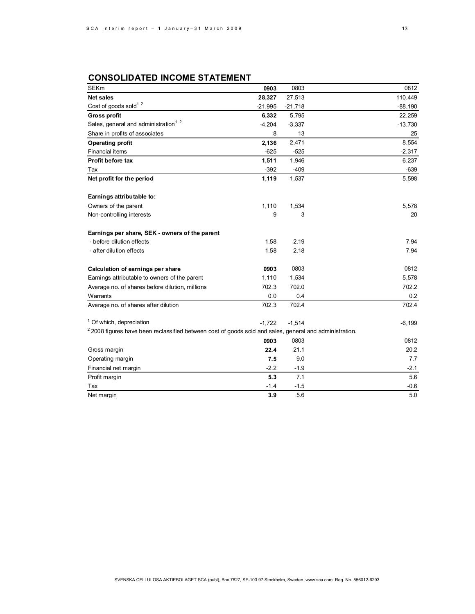# **CONSOLIDATED INCOME STATEMENT**

| <b>SEKm</b>                                                                                                        | 0903      | 0803      | 0812      |
|--------------------------------------------------------------------------------------------------------------------|-----------|-----------|-----------|
| <b>Net sales</b>                                                                                                   | 28,327    | 27,513    | 110,449   |
| Cost of goods sold <sup>1.2</sup>                                                                                  | $-21,995$ | $-21,718$ | $-88,190$ |
| <b>Gross profit</b>                                                                                                | 6,332     | 5,795     | 22,259    |
| Sales, general and administration <sup>1.2</sup>                                                                   | $-4,204$  | $-3,337$  | $-13,730$ |
| Share in profits of associates                                                                                     | 8         | 13        | 25        |
| <b>Operating profit</b>                                                                                            | 2,136     | 2,471     | 8,554     |
| Financial items                                                                                                    | $-625$    | $-525$    | $-2,317$  |
| Profit before tax                                                                                                  | 1,511     | 1,946     | 6,237     |
| Tax                                                                                                                | $-392$    | $-409$    | $-639$    |
| Net profit for the period                                                                                          | 1,119     | 1,537     | 5,598     |
| Earnings attributable to:                                                                                          |           |           |           |
| Owners of the parent                                                                                               | 1,110     | 1,534     | 5,578     |
| Non-controlling interests                                                                                          | 9         | 3         | 20        |
| Earnings per share, SEK - owners of the parent                                                                     |           |           |           |
| - before dilution effects                                                                                          | 1.58      | 2.19      | 7.94      |
| - after dilution effects                                                                                           | 1.58      | 2.18      | 7.94      |
| Calculation of earnings per share                                                                                  | 0903      | 0803      | 0812      |
| Earnings attributable to owners of the parent                                                                      | 1,110     | 1,534     | 5,578     |
| Average no. of shares before dilution, millions                                                                    | 702.3     | 702.0     | 702.2     |
| Warrants                                                                                                           | 0.0       | 0.4       | 0.2       |
| Average no. of shares after dilution                                                                               | 702.3     | 702.4     | 702.4     |
| <sup>1</sup> Of which, depreciation                                                                                | $-1,722$  | $-1,514$  | $-6,199$  |
| <sup>2</sup> 2008 figures have been reclassified between cost of goods sold and sales, general and administration. |           |           |           |
|                                                                                                                    | 0903      | 0803      | 0812      |
| Gross margin                                                                                                       | 22.4      | 21.1      | 20.2      |
| Operating margin                                                                                                   | 7.5       | 9.0       | 7.7       |
| Financial net margin                                                                                               | $-2.2$    | $-1.9$    | $-2.1$    |
| Profit margin                                                                                                      | 5.3       | 7.1       | 5.6       |
| Tax                                                                                                                | $-1.4$    | $-1.5$    | $-0.6$    |
| Net margin                                                                                                         | 3.9       | 5.6       | 5.0       |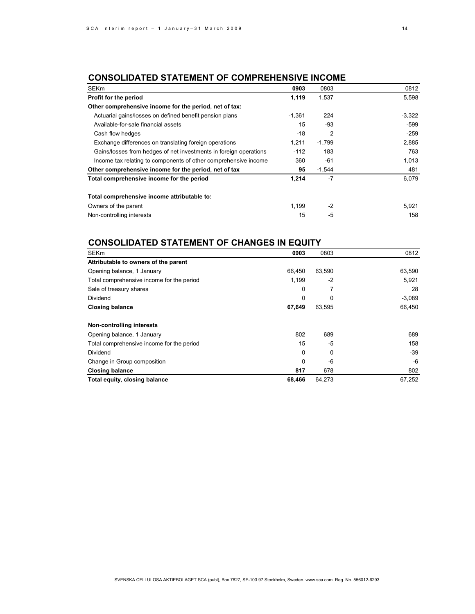# **CONSOLIDATED STATEMENT OF COMPREHENSIVE INCOME**

| <b>SEKm</b>                                                       | 0903     | 0803     | 0812     |
|-------------------------------------------------------------------|----------|----------|----------|
| Profit for the period                                             | 1,119    | 1,537    | 5,598    |
| Other comprehensive income for the period, net of tax:            |          |          |          |
| Actuarial gains/losses on defined benefit pension plans           | $-1,361$ | 224      | $-3,322$ |
| Available-for-sale financial assets                               | 15       | $-93$    | -599     |
| Cash flow hedges                                                  | -18      | 2        | $-259$   |
| Exchange differences on translating foreign operations            | 1,211    | $-1,799$ | 2,885    |
| Gains/losses from hedges of net investments in foreign operations | $-112$   | 183      | 763      |
| Income tax relating to components of other comprehensive income   | 360      | $-61$    | 1,013    |
| Other comprehensive income for the period, net of tax             | 95       | $-1,544$ | 481      |
| Total comprehensive income for the period                         | 1.214    | $-7$     | 6.079    |
| Total comprehensive income attributable to:                       |          |          |          |
| Owners of the parent                                              | 1.199    | $-2$     | 5,921    |
| Non-controlling interests                                         | 15       | -5       | 158      |

# **CONSOLIDATED STATEMENT OF CHANGES IN EQUITY**

| <b>SEKm</b>                               | 0903   | 0803   | 0812     |
|-------------------------------------------|--------|--------|----------|
| Attributable to owners of the parent      |        |        |          |
| Opening balance, 1 January                | 66.450 | 63,590 | 63,590   |
| Total comprehensive income for the period | 1,199  | $-2$   | 5,921    |
| Sale of treasury shares                   | 0      |        | 28       |
| Dividend                                  | 0      | 0      | $-3,089$ |
| <b>Closing balance</b>                    | 67,649 | 63,595 | 66,450   |
| Non-controlling interests                 |        |        |          |
| Opening balance, 1 January                | 802    | 689    | 689      |
| Total comprehensive income for the period | 15     | -5     | 158      |
| Dividend                                  | 0      | 0      | -39      |
| Change in Group composition               | 0      | -6     | -6       |
| <b>Closing balance</b>                    | 817    | 678    | 802      |
| Total equity, closing balance             | 68,466 | 64,273 | 67,252   |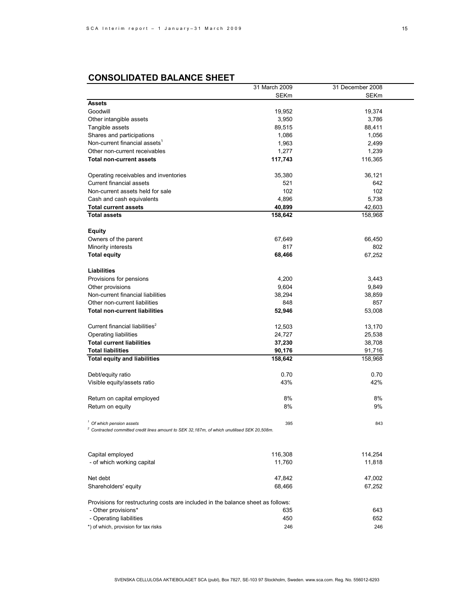# **CONSOLIDATED BALANCE SHEET**

|                                                                                               | 31 March 2009 | 31 December 2008 |  |
|-----------------------------------------------------------------------------------------------|---------------|------------------|--|
|                                                                                               | <b>SEKm</b>   | SEKm             |  |
| <b>Assets</b>                                                                                 |               |                  |  |
| Goodwill                                                                                      | 19,952        | 19,374           |  |
| Other intangible assets                                                                       | 3,950         | 3,786            |  |
| Tangible assets                                                                               | 89,515        | 88,411           |  |
| Shares and participations                                                                     | 1,086         | 1,056            |  |
| Non-current financial assets <sup>1</sup>                                                     | 1,963         | 2,499            |  |
| Other non-current receivables                                                                 | 1,277         | 1,239            |  |
| <b>Total non-current assets</b>                                                               | 117,743       | 116,365          |  |
|                                                                                               |               |                  |  |
|                                                                                               |               |                  |  |
| Operating receivables and inventories                                                         | 35,380        | 36,121           |  |
| <b>Current financial assets</b>                                                               | 521           | 642              |  |
| Non-current assets held for sale                                                              | 102           | 102              |  |
| Cash and cash equivalents                                                                     | 4,896         | 5,738            |  |
| <b>Total current assets</b>                                                                   | 40,899        | 42,603           |  |
| <b>Total assets</b>                                                                           | 158,642       | 158,968          |  |
|                                                                                               |               |                  |  |
| <b>Equity</b>                                                                                 |               |                  |  |
| Owners of the parent                                                                          | 67,649        | 66,450           |  |
| Minority interests                                                                            | 817           | 802              |  |
| <b>Total equity</b>                                                                           | 68,466        | 67,252           |  |
|                                                                                               |               |                  |  |
| Liabilities                                                                                   |               |                  |  |
| Provisions for pensions                                                                       | 4,200         | 3,443            |  |
| Other provisions                                                                              | 9,604         | 9,849            |  |
| Non-current financial liabilities                                                             | 38,294        | 38,859           |  |
| Other non-current liabilities                                                                 | 848           | 857              |  |
| <b>Total non-current liabilities</b>                                                          | 52,946        | 53,008           |  |
|                                                                                               |               |                  |  |
| Current financial liabilities <sup>2</sup>                                                    | 12,503        | 13,170           |  |
| Operating liabilities                                                                         | 24,727        | 25,538           |  |
| <b>Total current liabilities</b>                                                              | 37,230        | 38,708           |  |
| <b>Total liabilities</b>                                                                      | 90,176        |                  |  |
|                                                                                               |               | 91,716           |  |
| <b>Total equity and liabilities</b>                                                           | 158,642       | 158,968          |  |
|                                                                                               |               |                  |  |
| Debt/equity ratio                                                                             | 0.70          | 0.70             |  |
| Visible equity/assets ratio                                                                   | 43%           | 42%              |  |
|                                                                                               |               |                  |  |
| Return on capital employed                                                                    | 8%            | 8%               |  |
| Return on equity                                                                              | 8%            | 9%               |  |
|                                                                                               |               |                  |  |
| <sup>1</sup> Of which pension assets                                                          | 395           | 843              |  |
| $2$ Contracted committed credit lines amount to SEK 32,187m, of which unutilised SEK 20,508m. |               |                  |  |
|                                                                                               |               |                  |  |
|                                                                                               |               |                  |  |
| Capital employed                                                                              | 116,308       | 114,254          |  |
| - of which working capital                                                                    | 11,760        | 11,818           |  |
|                                                                                               |               |                  |  |
| Net debt                                                                                      | 47,842        | 47,002           |  |
| Shareholders' equity                                                                          | 68,466        | 67,252           |  |
|                                                                                               |               |                  |  |
| Provisions for restructuring costs are included in the balance sheet as follows:              |               |                  |  |
| - Other provisions*                                                                           | 635           | 643              |  |
|                                                                                               |               |                  |  |
| - Operating liabilities                                                                       | 450           | 652              |  |
| *) of which, provision for tax risks                                                          | 246           | 246              |  |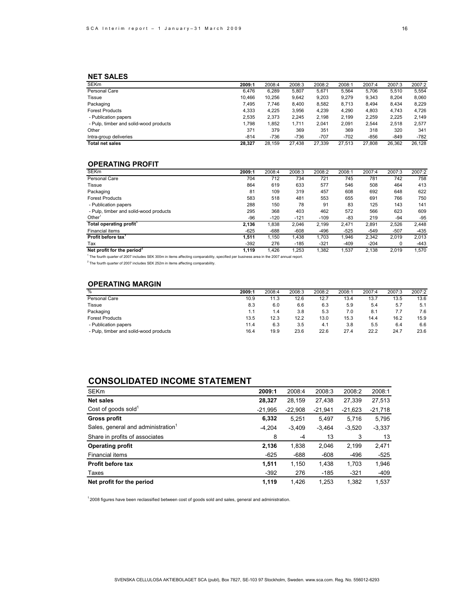## **NET SALES**

| <b>SEKm</b>                            | 2009:1 | 2008:4 | 2008:3 | 2008:2 | 2008:1 | 2007:4 | 2007:3 | 2007:2 |
|----------------------------------------|--------|--------|--------|--------|--------|--------|--------|--------|
| Personal Care                          | 6.476  | 6.289  | 5.807  | 5,671  | 5.564  | 5.706  | 5.510  | 5.554  |
| Tissue                                 | 10.466 | 10.256 | 9.642  | 9.203  | 9.279  | 9.343  | 8.204  | 8.060  |
| Packaging                              | 7.495  | 7.746  | 8.400  | 8,582  | 8,713  | 8.494  | 8.434  | 8,229  |
| <b>Forest Products</b>                 | 4,333  | 4.225  | 3.956  | 4.239  | 4.290  | 4.803  | 4.743  | 4.726  |
| - Publication papers                   | 2,535  | 2.373  | 2.245  | 2,198  | 2.199  | 2.259  | 2.225  | 2.149  |
| - Pulp, timber and solid-wood products | 1.798  | 1.852  | 1.711  | 2.041  | 2.091  | 2.544  | 2.518  | 2.577  |
| Other                                  | 371    | 379    | 369    | 351    | 369    | 318    | 320    | 341    |
| Intra-group deliveries                 | $-814$ | $-736$ | -736   | $-707$ | $-702$ | -856   | $-849$ | $-782$ |
| <b>Total net sales</b>                 | 28,327 | 28,159 | 27.438 | 27,339 | 27,513 | 27,808 | 26,362 | 26,128 |
|                                        |        |        |        |        |        |        |        |        |

## **OPERATING PROFIT**

| <b>SEKm</b>                                                                                                                                        | 2009:1 | 2008:4 | 2008:3 | 2008:2 | 2008:1 | 2007:4 | 2007:3 | 2007:2 |
|----------------------------------------------------------------------------------------------------------------------------------------------------|--------|--------|--------|--------|--------|--------|--------|--------|
| Personal Care                                                                                                                                      | 704    | 712    | 734    | 721    | 745    | 781    | 742    | 758    |
| Tissue                                                                                                                                             | 864    | 619    | 633    | 577    | 546    | 508    | 464    | 413    |
| Packaging                                                                                                                                          | 81     | 109    | 319    | 457    | 608    | 692    | 648    | 622    |
| <b>Forest Products</b>                                                                                                                             | 583    | 518    | 481    | 553    | 655    | 691    | 766    | 750    |
| - Publication papers                                                                                                                               | 288    | 150    | 78     | 91     | 83     | 125    | 143    | 141    |
| - Pulp, timber and solid-wood products                                                                                                             | 295    | 368    | 403    | 462    | 572    | 566    | 623    | 609    |
| Other <sup>1</sup>                                                                                                                                 | -96    | $-120$ | $-121$ | $-109$ | -83    | 219    | $-94$  | $-95$  |
| Total operating profit <sup>1</sup>                                                                                                                | 2.136  | 1,838  | 2.046  | 2.199  | 2.471  | 2.891  | 2,526  | 2,448  |
| Financial items                                                                                                                                    | $-625$ | $-688$ | $-608$ | $-496$ | $-525$ | $-549$ | $-507$ | $-435$ |
| Profit before tax <sup>1</sup>                                                                                                                     | 1,511  | 1.150  | 1,438  | 1.703  | 1,946  | 2,342  | 2,019  | 2,013  |
| Tax                                                                                                                                                | $-392$ | 276    | $-185$ | $-321$ | $-409$ | $-204$ | 0      | $-443$ |
| Net profit for the period <sup>2</sup>                                                                                                             | 1.119  | 1.426  | 1.253  | 1.382  | 1,537  | 2.138  | 2.019  | 1,570  |
| <sup>1</sup> The fourth quarter of 2007 includes SEK 300m in items affecting comparability, specified per business area in the 2007 annual report. |        |        |        |        |        |        |        |        |

 $2$  The fourth quarter of 2007 includes SEK 252m in items affecting comparability.

## **OPERATING MARGIN**

| $\overline{\%}$                        | 2009:1 | 2008:4 | 2008:3 | 2008:2 | 2008:1 | 2007:4 | 2007:3 | 2007:2 |
|----------------------------------------|--------|--------|--------|--------|--------|--------|--------|--------|
| Personal Care                          | 10.9   | 11.3   | 12.6   | 12.7   | 13.4   | 13.7   | 13.5   | 13.6   |
| Tissue                                 | 8.3    | 6.0    | 6.6    | 6.3    | 5.9    | 5.4    | 5.7    | 5.1    |
| Packaging                              | 1.1    | 1.4    | 3.8    | 5.3    | 7.0    | 8.1    | 7.7    | 7.6    |
| <b>Forest Products</b>                 | 13.5   | 12.3   | 12.2   | 13.0   | 15.3   | 14.4   | 16.2   | 15.9   |
| - Publication papers                   | 11.4   | 6.3    | 3.5    | 4.1    | 3.8    | 5.5    | 6.4    | 6.6    |
| - Pulp, timber and solid-wood products | 16.4   | 19.9   | 23.6   | 22.6   | 27.4   | 22.2   | 24.7   | 23.6   |

# **CONSOLIDATED INCOME STATEMENT**

| <b>SEKm</b>                                    | 2009:1    | 2008:4    | 2008:3    | 2008:2    | 2008:1    |
|------------------------------------------------|-----------|-----------|-----------|-----------|-----------|
| Net sales                                      | 28,327    | 28.159    | 27,438    | 27,339    | 27,513    |
| Cost of goods sold $1$                         | $-21,995$ | $-22,908$ | $-21,941$ | $-21,623$ | $-21,718$ |
| Gross profit                                   | 6,332     | 5,251     | 5,497     | 5.716     | 5,795     |
| Sales, general and administration <sup>1</sup> | $-4,204$  | $-3,409$  | $-3,464$  | $-3,520$  | $-3,337$  |
| Share in profits of associates                 | 8         | $-4$      | 13        | 3         | 13        |
| <b>Operating profit</b>                        | 2,136     | 1,838     | 2,046     | 2,199     | 2,471     |
| Financial items                                | $-625$    | $-688$    | $-608$    | $-496$    | $-525$    |
| Profit before tax                              | 1,511     | 1,150     | 1,438     | 1,703     | 1,946     |
| Taxes                                          | $-392$    | 276       | $-185$    | $-321$    | $-409$    |
| Net profit for the period                      | 1,119     | 1.426     | 1,253     | 1.382     | 1.537     |

 $12008$  figures have been reclassified between cost of goods sold and sales, general and administration.